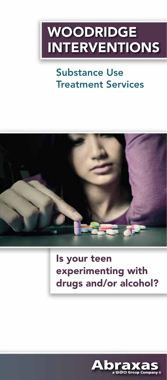# WOODRIDGE INTERVENTIONS

## Substance Use Treatment Services



### Is your teen experimenting with drugs and/or alcohol?

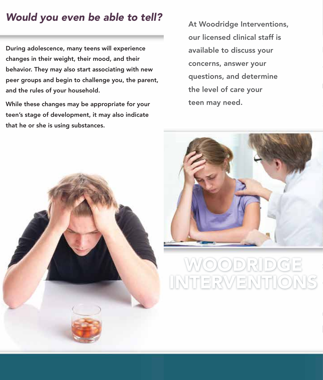### *Would you even be able to tell?*

During adolescence, many teens will experience changes in their weight, their mood, and their behavior. They may also start associating with new peer groups and begin to challenge you, the parent, and the rules of your household.

While these changes may be appropriate for your teen's stage of development, it may also indicate that he or she is using substances.

 $\begin{array}{ccc} \text{A} & \text{A} & \text{B} & \text{C} \\ \end{array}$ available to discuss your Concerns, answer your the level of care your teen may need. At Woodridge Interventions, our licensed clinical staff is concerns, answer your questions, and determine





# WOODRIDGE Engaging in criminal activity, arrests, gang involvement, physical altercations INTERVENTIONS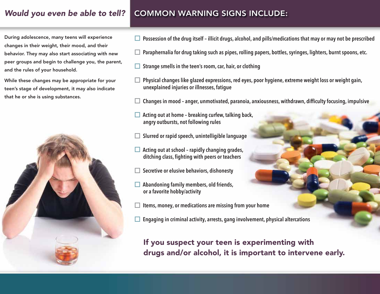### *Would you even be able to tell?*

#### COMMON WARNING SIGNS INCLUDE:

During adolescence, many teens will experience changes in their weight, their mood, and their behavior. They may also start associating with new peer groups and begin to challenge you, the parent, and the rules of your household.

While these changes may be appropriate for your teen's stage of development, it may also indicate that he or she is using substances.



- Possession of the drug itself illicit drugs, alcohol, and pills/medications that may or may not be prescribed
- $\Box$  Paraphernalia for drug taking such as pipes, rolling papers, bottles, syringes, lighters, burnt spoons, etc.
- $\Box$  Strange smells in the teen's room, car, hair, or clothing
- Physical changes like glazed expressions, red eyes, poor hygiene, extreme weight loss or weight gain, unexplained injuries or illnesses, fatigue
- Changes in mood anger, unmotivated, paranoia, anxiousness, withdrawn, difficulty focusing, impulsive
- $\Box$  Acting out at home breaking curfew, talking back, angry outbursts, not following rules
- $\Box$  Slurred or rapid speech, unintelligible language
- $\Box$  Acting out at school rapidly changing grades, ditching class, fighting with peers or teachers
- $\Box$  Secretive or elusive behaviors, dishonesty
- Abandoning family members, old friends, or a favorite hobby/activity
- Items, money, or medications are missing from your home
- Engaging in criminal activity, arrests, gang involvement, physical altercations

If you suspect your teen is experimenting with drugs and/or alcohol, it is important to intervene early.